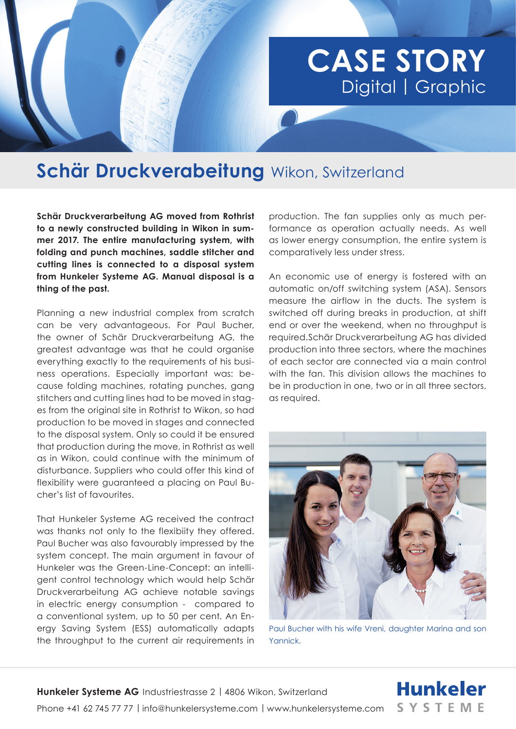

## **Schär Druckverabeitung** Wikon, Switzerland

**Schär Druckverarbeitung AG moved from Rothrist to a newly constructed building in Wikon in summer 2017. The entire manufacturing system, with folding and punch machines, saddle stitcher and cutting lines is connected to a disposal system from Hunkeler Systeme AG. Manual disposal is a thing of the past.**

Planning a new industrial complex from scratch can be very advantageous. For Paul Bucher, the owner of Schär Druckverarbeitung AG, the greatest advantage was that he could organise everything exactly to the requirements of his business operations. Especially important was: because folding machines, rotating punches, gang stitchers and cutting lines had to be moved in stages from the original site in Rothrist to Wikon, so had production to be moved in stages and connected to the disposal system. Only so could it be ensured that production during the move, in Rothrist as well as in Wikon, could continue with the minimum of disturbance. Suppliers who could offer this kind of flexibility were guaranteed a placing on Paul Bucher's list of favourites.

That Hunkeler Systeme AG received the contract was thanks not only to the flexibiity they offered. Paul Bucher was also favourably impressed by the system concept. The main argument in favour of Hunkeler was the Green-Line-Concept: an intelligent control technology which would help Schär Druckverarbeitung AG achieve notable savings in electric energy consumption - compared to a conventional system, up to 50 per cent. An Energy Saving System (ESS) automatically adapts the throughput to the current air requirements in production. The fan supplies only as much performance as operation actually needs. As well as lower energy consumption, the entire system is comparatively less under stress.

An economic use of energy is fostered with an automatic on/off switching system (ASA). Sensors measure the airflow in the ducts. The system is switched off during breaks in production, at shift end or over the weekend, when no throughput is required.Schär Druckverarbeitung AG has divided production into three sectors, where the machines of each sector are connected via a main control with the fan. This division allows the machines to be in production in one, two or in all three sectors, as required.



Paul Bucher with his wife Vreni, daughter Marina and son Yannick.